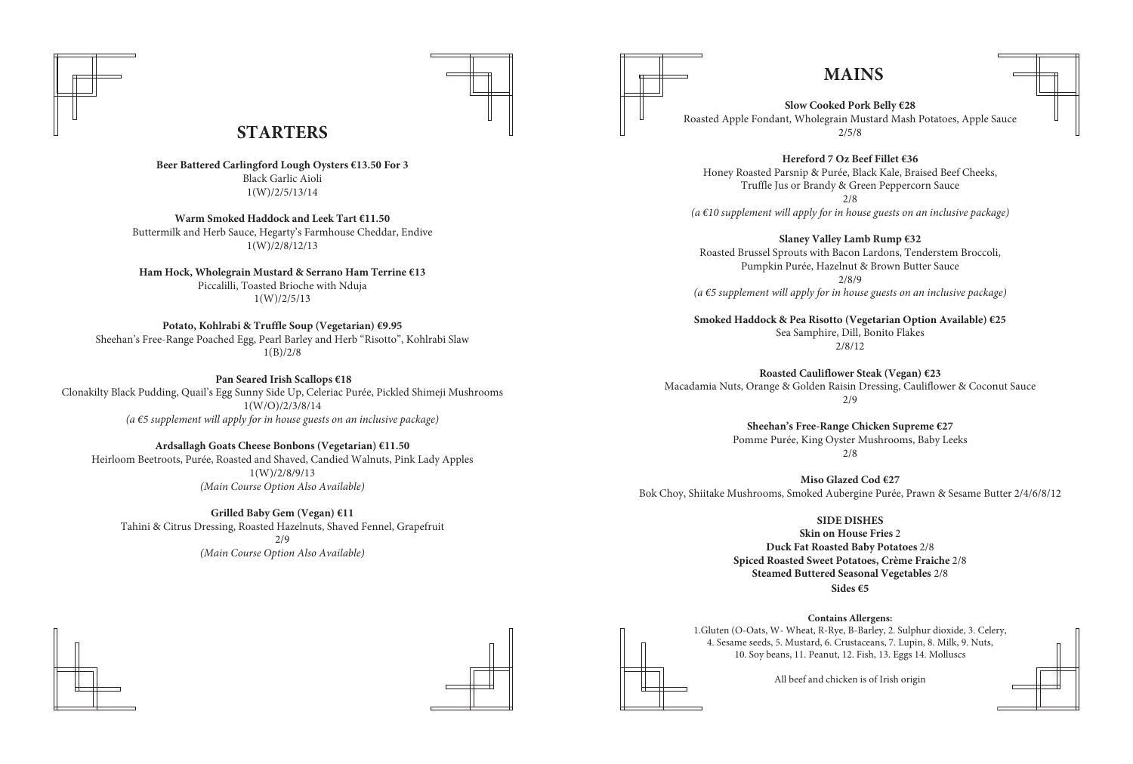# **MAINS**

**STARTERS**





**Beer Battered Carlingford Lough Oysters €13.50 For 3** Black Garlic Aioli 1(W)/2/5/13/14

**Ham Hock, Wholegrain Mustard & Serrano Ham Terrine €13** Piccalilli, Toasted Brioche with Nduja  $1(W)/2/5/13$ 

**Warm Smoked Haddock and Leek Tart €11.50** Buttermilk and Herb Sauce, Hegarty's Farmhouse Cheddar, Endive 1(W)/2/8/12/13

**Potato, Kohlrabi & Truffle Soup (Vegetarian) €9.95** Sheehan's Free-Range Poached Egg, Pearl Barley and Herb "Risotto", Kohlrabi Slaw 1(B)/2/8

 **Pan Seared Irish Scallops €18** Clonakilty Black Pudding, Quail's Egg Sunny Side Up, Celeriac Purée, Pickled Shimeji Mushrooms 1(W/O)/2/3/8/14 *(a €5 supplement will apply for in house guests on an inclusive package)*

**Ardsallagh Goats Cheese Bonbons (Vegetarian) €11.50**  Heirloom Beetroots, Purée, Roasted and Shaved, Candied Walnuts, Pink Lady Apples 1(W)/2/8/9/13 *(Main Course Option Also Available)*

**Grilled Baby Gem (Vegan) €11** Tahini & Citrus Dressing, Roasted Hazelnuts, Shaved Fennel, Grapefruit 2/9 *(Main Course Option Also Available)*

### **Slow Cooked Pork Belly €28**

Roasted Apple Fondant, Wholegrain Mustard Mash Potatoes, Apple Sauce 2/5/8

**Hereford 7 Oz Beef Fillet €36** Truffle Jus or Brandy & Green Peppercorn Sauce 2/8

Honey Roasted Parsnip & Purée, Black Kale, Braised Beef Cheeks, *(a €10 supplement will apply for in house guests on an inclusive package)*

### **Slaney Valley Lamb Rump €32**

Roasted Brussel Sprouts with Bacon Lardons, Tenderstem Broccoli, Pumpkin Purée, Hazelnut & Brown Butter Sauce 2/8/9 *(a €5 supplement will apply for in house guests on an inclusive package)*

### **Smoked Haddock & Pea Risotto (Vegetarian Option Available) €25**

Sea Samphire, Dill, Bonito Flakes 2/8/12

### **Roasted Cauliflower Steak (Vegan) €23**

Macadamia Nuts, Orange & Golden Raisin Dressing, Cauliflower & Coconut Sauce 2/9

### **Sheehan's Free-Range Chicken Supreme €27**

Pomme Purée, King Oyster Mushrooms, Baby Leeks 2/8





**Miso Glazed Cod €27** Bok Choy, Shiitake Mushrooms, Smoked Aubergine Purée, Prawn & Sesame Butter 2/4/6/8/12

> **SIDE DISHES Skin on House Fries** 2 **Duck Fat Roasted Baby Potatoes** 2/8 **Spiced Roasted Sweet Potatoes, Crème Fraiche** 2/8 **Steamed Buttered Seasonal Vegetables** 2/8 **Sides €5**

**Contains Allergens:** 1.Gluten (O-Oats, W- Wheat, R-Rye, B-Barley, 2. Sulphur dioxide, 3. Celery, 4. Sesame seeds, 5. Mustard, 6. Crustaceans, 7. Lupin, 8. Milk, 9. Nuts, 10. Soy beans, 11. Peanut, 12. Fish, 13. Eggs 14. Molluscs

All beef and chicken is of Irish origin